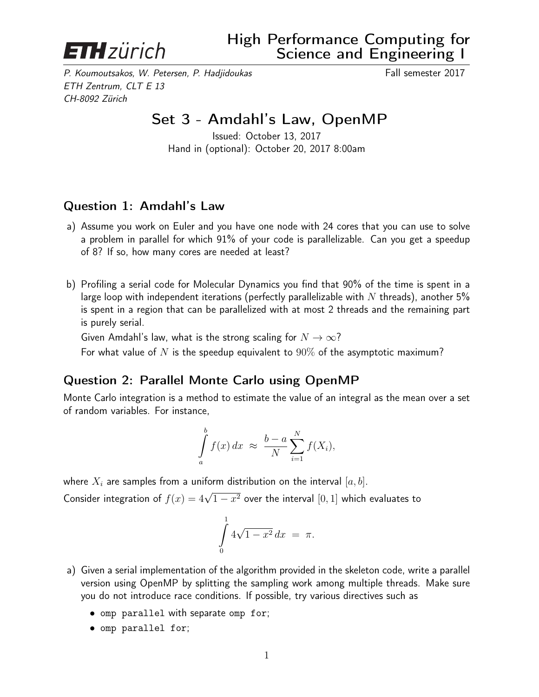

P. Koumoutsakos, W. Petersen, P. Hadjidoukas Fall semester 2017 ETH Zentrum, CLT E 13 CH-8092 Zürich

## Set 3 - Amdahl's Law, OpenMP

Issued: October 13, 2017 Hand in (optional): October 20, 2017 8:00am

## Question 1: Amdahl's Law

- a) Assume you work on Euler and you have one node with 24 cores that you can use to solve a problem in parallel for which 91% of your code is parallelizable. Can you get a speedup of 8? If so, how many cores are needed at least?
- b) Profiling a serial code for Molecular Dynamics you find that 90% of the time is spent in a large loop with independent iterations (perfectly parallelizable with N threads), another 5% is spent in a region that can be parallelized with at most 2 threads and the remaining part is purely serial.

Given Amdahl's law, what is the strong scaling for  $N \to \infty$ ?

For what value of N is the speedup equivalent to  $90\%$  of the asymptotic maximum?

## Question 2: Parallel Monte Carlo using OpenMP

Monte Carlo integration is a method to estimate the value of an integral as the mean over a set of random variables. For instance,

$$
\int_a^b f(x) dx \approx \frac{b-a}{N} \sum_{i=1}^N f(X_i),
$$

where  $X_i$  are samples from a uniform distribution on the interval  $[a, b]$ . Consider integration of  $f(x) = 4\sqrt{1-x^2}$  over the interval  $[0,1]$  which evaluates to

$$
\int\limits_0^1 4\sqrt{1-x^2}\,dx\ =\ \pi.
$$

- a) Given a serial implementation of the algorithm provided in the skeleton code, write a parallel version using OpenMP by splitting the sampling work among multiple threads. Make sure you do not introduce race conditions. If possible, try various directives such as
	- omp parallel with separate omp for;
	- omp parallel for;